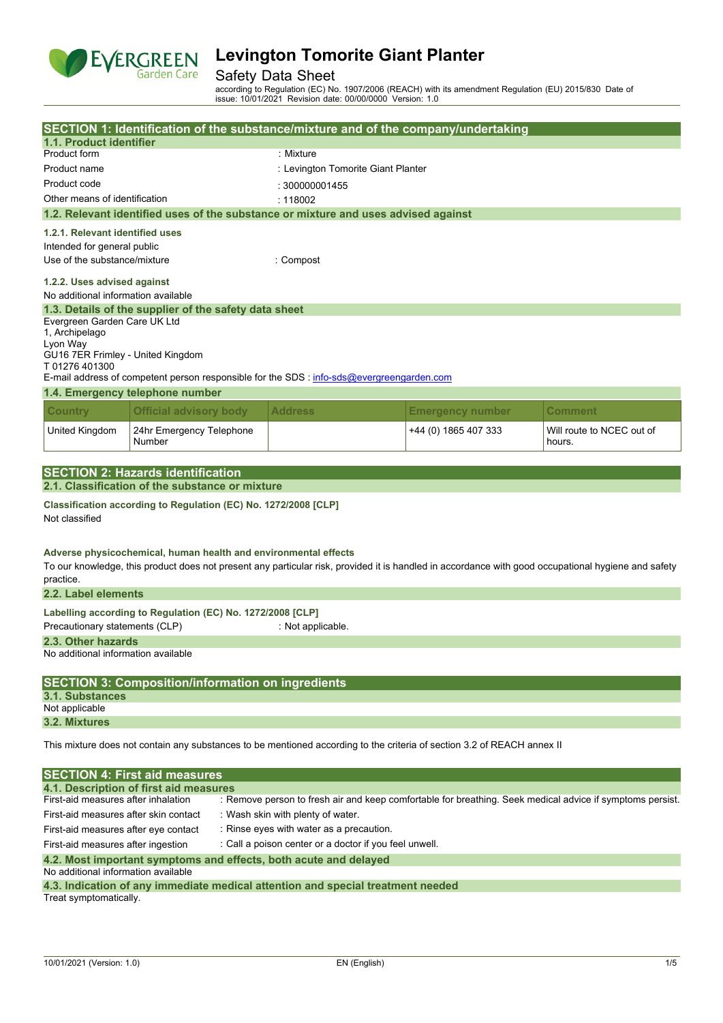

## Safety Data Sheet

according to Regulation (EC) No. 1907/2006 (REACH) with its amendment Regulation (EU) 2015/830 Date of issue: 10/01/2021 Revision date: 00/00/0000 Version: 1.0

| 1.1. Product identifier                                                           |                                                                                                                                                                                                                        | SECTION 1: Identification of the substance/mixture and of the company/undertaking                  |                                    |                                                                                                           |  |  |
|-----------------------------------------------------------------------------------|------------------------------------------------------------------------------------------------------------------------------------------------------------------------------------------------------------------------|----------------------------------------------------------------------------------------------------|------------------------------------|-----------------------------------------------------------------------------------------------------------|--|--|
|                                                                                   |                                                                                                                                                                                                                        |                                                                                                    |                                    |                                                                                                           |  |  |
| Product form                                                                      |                                                                                                                                                                                                                        | : Mixture                                                                                          |                                    |                                                                                                           |  |  |
| Product name                                                                      |                                                                                                                                                                                                                        |                                                                                                    | : Levington Tomorite Giant Planter |                                                                                                           |  |  |
| Product code                                                                      |                                                                                                                                                                                                                        | : 300000001455                                                                                     |                                    |                                                                                                           |  |  |
| Other means of identification                                                     |                                                                                                                                                                                                                        | : 118002                                                                                           |                                    |                                                                                                           |  |  |
|                                                                                   | 1.2. Relevant identified uses of the substance or mixture and uses advised against                                                                                                                                     |                                                                                                    |                                    |                                                                                                           |  |  |
|                                                                                   | 1.2.1. Relevant identified uses                                                                                                                                                                                        |                                                                                                    |                                    |                                                                                                           |  |  |
|                                                                                   | Intended for general public                                                                                                                                                                                            |                                                                                                    |                                    |                                                                                                           |  |  |
| Use of the substance/mixture<br>: Compost                                         |                                                                                                                                                                                                                        |                                                                                                    |                                    |                                                                                                           |  |  |
| 1.2.2. Uses advised against<br>No additional information available                |                                                                                                                                                                                                                        |                                                                                                    |                                    |                                                                                                           |  |  |
|                                                                                   | 1.3. Details of the supplier of the safety data sheet                                                                                                                                                                  |                                                                                                    |                                    |                                                                                                           |  |  |
| Evergreen Garden Care UK Ltd<br>1, Archipelago                                    |                                                                                                                                                                                                                        |                                                                                                    |                                    |                                                                                                           |  |  |
| Lyon Way                                                                          |                                                                                                                                                                                                                        |                                                                                                    |                                    |                                                                                                           |  |  |
| GU16 7ER Frimley - United Kingdom<br>T01276401300                                 |                                                                                                                                                                                                                        |                                                                                                    |                                    |                                                                                                           |  |  |
|                                                                                   | E-mail address of competent person responsible for the SDS : info-sds@evergreengarden.com                                                                                                                              |                                                                                                    |                                    |                                                                                                           |  |  |
|                                                                                   | 1.4. Emergency telephone number                                                                                                                                                                                        |                                                                                                    |                                    |                                                                                                           |  |  |
| <b>Country</b>                                                                    | <b>Official advisory body</b>                                                                                                                                                                                          | <b>Address</b>                                                                                     | <b>Emergency number</b>            | <b>Comment</b>                                                                                            |  |  |
| United Kingdom                                                                    | 24hr Emergency Telephone<br>Number                                                                                                                                                                                     |                                                                                                    | +44 (0) 1865 407 333               | Will route to NCEC out of<br>hours.                                                                       |  |  |
|                                                                                   |                                                                                                                                                                                                                        |                                                                                                    |                                    |                                                                                                           |  |  |
|                                                                                   | <b>SECTION 2: Hazards identification</b>                                                                                                                                                                               |                                                                                                    |                                    |                                                                                                           |  |  |
|                                                                                   | 2.1. Classification of the substance or mixture                                                                                                                                                                        |                                                                                                    |                                    |                                                                                                           |  |  |
| Classification according to Regulation (EC) No. 1272/2008 [CLP]<br>Not classified |                                                                                                                                                                                                                        |                                                                                                    |                                    |                                                                                                           |  |  |
|                                                                                   |                                                                                                                                                                                                                        |                                                                                                    |                                    |                                                                                                           |  |  |
| practice.                                                                         | Adverse physicochemical, human health and environmental effects<br>To our knowledge, this product does not present any particular risk, provided it is handled in accordance with good occupational hygiene and safety |                                                                                                    |                                    |                                                                                                           |  |  |
| 2.2. Label elements                                                               |                                                                                                                                                                                                                        |                                                                                                    |                                    |                                                                                                           |  |  |
|                                                                                   | Labelling according to Regulation (EC) No. 1272/2008 [CLP]                                                                                                                                                             |                                                                                                    |                                    |                                                                                                           |  |  |
| Precautionary statements (CLP)                                                    |                                                                                                                                                                                                                        | : Not applicable.                                                                                  |                                    |                                                                                                           |  |  |
| 2.3. Other hazards                                                                |                                                                                                                                                                                                                        |                                                                                                    |                                    |                                                                                                           |  |  |
| No additional information available                                               |                                                                                                                                                                                                                        |                                                                                                    |                                    |                                                                                                           |  |  |
|                                                                                   |                                                                                                                                                                                                                        |                                                                                                    |                                    |                                                                                                           |  |  |
| 3.1. Substances                                                                   | <b>SECTION 3: Composition/information on ingredients</b>                                                                                                                                                               |                                                                                                    |                                    |                                                                                                           |  |  |
| Not applicable                                                                    |                                                                                                                                                                                                                        |                                                                                                    |                                    |                                                                                                           |  |  |
| 3.2. Mixtures                                                                     |                                                                                                                                                                                                                        |                                                                                                    |                                    |                                                                                                           |  |  |
|                                                                                   | This mixture does not contain any substances to be mentioned according to the criteria of section 3.2 of REACH annex II                                                                                                |                                                                                                    |                                    |                                                                                                           |  |  |
|                                                                                   |                                                                                                                                                                                                                        |                                                                                                    |                                    |                                                                                                           |  |  |
|                                                                                   | <b>SECTION 4: First aid measures</b>                                                                                                                                                                                   |                                                                                                    |                                    |                                                                                                           |  |  |
| First-aid measures after inhalation                                               | 4.1. Description of first aid measures                                                                                                                                                                                 |                                                                                                    |                                    | : Remove person to fresh air and keep comfortable for breathing. Seek medical advice if symptoms persist. |  |  |
| First-aid measures after skin contact                                             |                                                                                                                                                                                                                        |                                                                                                    |                                    |                                                                                                           |  |  |
|                                                                                   |                                                                                                                                                                                                                        | : Wash skin with plenty of water.                                                                  |                                    |                                                                                                           |  |  |
| First-aid measures after eye contact<br>First-aid measures after ingestion        |                                                                                                                                                                                                                        | : Rinse eyes with water as a precaution.<br>: Call a poison center or a doctor if you feel unwell. |                                    |                                                                                                           |  |  |

No additional information available

| 4.3. Indication of any immediate medical attention and special treatment needed |  |  |  |
|---------------------------------------------------------------------------------|--|--|--|
| Treat symptomatically.                                                          |  |  |  |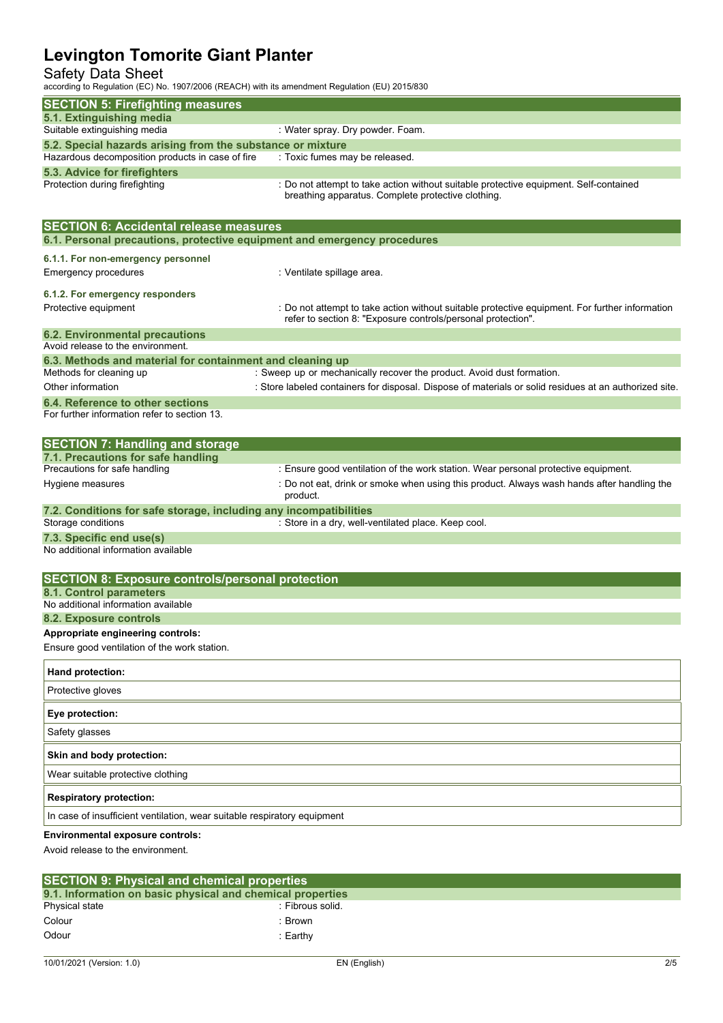## Safety Data Sheet

according to Regulation (EC) No. 1907/2006 (REACH) with its amendment Regulation (EU) 2015/830

| according to Regulation (EC) No. 1907/2006 (REACH) with its amendment Regulation (EO) 2015/630 |                                                                                                                                                                                              |
|------------------------------------------------------------------------------------------------|----------------------------------------------------------------------------------------------------------------------------------------------------------------------------------------------|
| <b>SECTION 5: Firefighting measures</b>                                                        |                                                                                                                                                                                              |
| 5.1. Extinguishing media<br>Suitable extinguishing media                                       | : Water spray. Dry powder. Foam.                                                                                                                                                             |
| 5.2. Special hazards arising from the substance or mixture                                     |                                                                                                                                                                                              |
| Hazardous decomposition products in case of fire<br>5.3. Advice for firefighters               | : Toxic fumes may be released.                                                                                                                                                               |
| Protection during firefighting                                                                 | : Do not attempt to take action without suitable protective equipment. Self-contained<br>breathing apparatus. Complete protective clothing.                                                  |
| <b>SECTION 6: Accidental release measures</b>                                                  |                                                                                                                                                                                              |
| 6.1. Personal precautions, protective equipment and emergency procedures                       |                                                                                                                                                                                              |
| 6.1.1. For non-emergency personnel                                                             |                                                                                                                                                                                              |
| Emergency procedures                                                                           | : Ventilate spillage area.                                                                                                                                                                   |
| 6.1.2. For emergency responders<br>Protective equipment                                        | : Do not attempt to take action without suitable protective equipment. For further information<br>refer to section 8: "Exposure controls/personal protection".                               |
| <b>6.2. Environmental precautions</b>                                                          |                                                                                                                                                                                              |
| Avoid release to the environment.                                                              |                                                                                                                                                                                              |
| 6.3. Methods and material for containment and cleaning up<br>Methods for cleaning up           | : Sweep up or mechanically recover the product. Avoid dust formation.                                                                                                                        |
| Other information                                                                              | : Store labeled containers for disposal. Dispose of materials or solid residues at an authorized site.                                                                                       |
| 6.4. Reference to other sections<br>For further information refer to section 13.               |                                                                                                                                                                                              |
| <b>SECTION 7: Handling and storage</b>                                                         |                                                                                                                                                                                              |
| 7.1. Precautions for safe handling                                                             |                                                                                                                                                                                              |
| Precautions for safe handling<br>Hygiene measures                                              | : Ensure good ventilation of the work station. Wear personal protective equipment.<br>: Do not eat, drink or smoke when using this product. Always wash hands after handling the<br>product. |
| 7.2. Conditions for safe storage, including any incompatibilities                              |                                                                                                                                                                                              |
| Storage conditions                                                                             | : Store in a dry, well-ventilated place. Keep cool.                                                                                                                                          |
| 7.3. Specific end use(s)<br>No additional information available                                |                                                                                                                                                                                              |
| <b>SECTION 8: Exposure controls/personal protection</b>                                        |                                                                                                                                                                                              |
| 8.1. Control parameters                                                                        |                                                                                                                                                                                              |
| No additional information available<br>8.2. Exposure controls                                  |                                                                                                                                                                                              |
| Appropriate engineering controls:                                                              |                                                                                                                                                                                              |
| Ensure good ventilation of the work station.                                                   |                                                                                                                                                                                              |
| Hand protection:                                                                               |                                                                                                                                                                                              |
| Protective gloves                                                                              |                                                                                                                                                                                              |
| Eye protection:                                                                                |                                                                                                                                                                                              |
| Safety glasses                                                                                 |                                                                                                                                                                                              |
| Skin and body protection:                                                                      |                                                                                                                                                                                              |
| Wear suitable protective clothing                                                              |                                                                                                                                                                                              |
| <b>Respiratory protection:</b>                                                                 |                                                                                                                                                                                              |
| In case of insufficient ventilation, wear suitable respiratory equipment                       |                                                                                                                                                                                              |
| Environmental exposure controls:                                                               |                                                                                                                                                                                              |
| Avoid release to the environment.                                                              |                                                                                                                                                                                              |

| <b>SECTION 9: Physical and chemical properties</b>         |                  |  |  |
|------------------------------------------------------------|------------------|--|--|
| 9.1. Information on basic physical and chemical properties |                  |  |  |
| Physical state                                             | : Fibrous solid. |  |  |
| Colour                                                     | ∵ Brown          |  |  |
| Odour                                                      | :Earthv:         |  |  |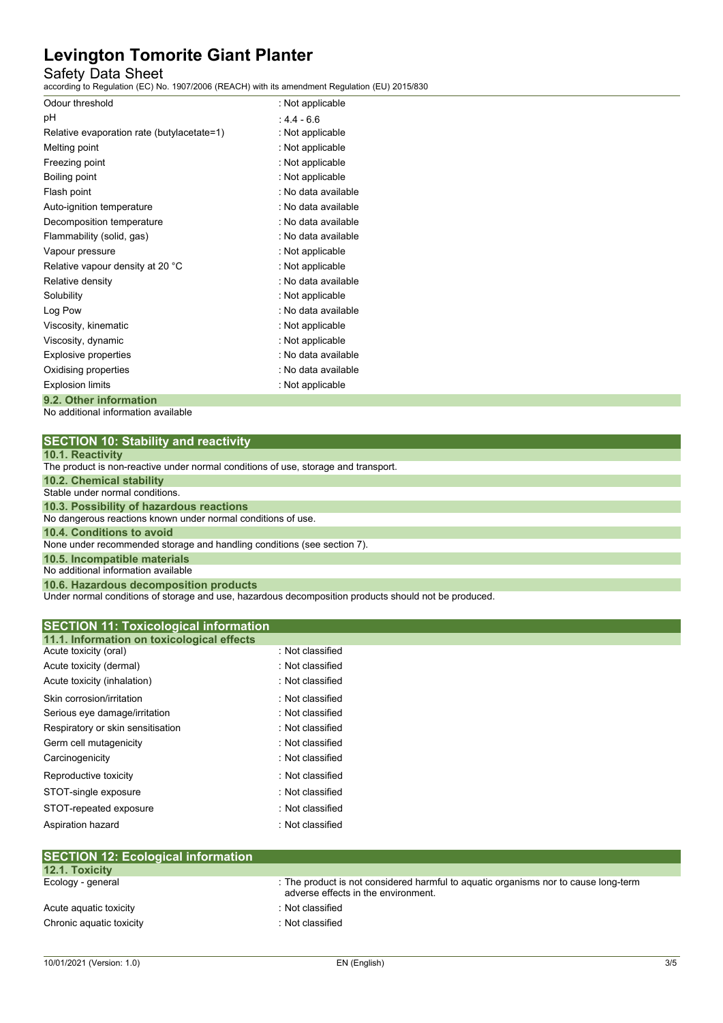## Safety Data Sheet

according to Regulation (EC) No. 1907/2006 (REACH) with its amendment Regulation (EU) 2015/830

| Odour threshold                            | : Not applicable    |
|--------------------------------------------|---------------------|
| рH                                         | $.44 - 6.6$         |
| Relative evaporation rate (butylacetate=1) | : Not applicable    |
| Melting point                              | : Not applicable    |
| Freezing point                             | : Not applicable    |
| Boiling point                              | : Not applicable    |
| Flash point                                | : No data available |
| Auto-ignition temperature                  | : No data available |
| Decomposition temperature                  | : No data available |
| Flammability (solid, gas)                  | : No data available |
| Vapour pressure                            | : Not applicable    |
| Relative vapour density at 20 °C           | : Not applicable    |
| Relative density                           | : No data available |
| Solubility                                 | : Not applicable    |
| Log Pow                                    | : No data available |
| Viscosity, kinematic                       | : Not applicable    |
| Viscosity, dynamic                         | : Not applicable    |
| Explosive properties                       | : No data available |
| Oxidising properties                       | : No data available |
| <b>Explosion limits</b>                    | : Not applicable    |
| 9.2. Other information                     |                     |

No additional information available

| <b>SECTION 10: Stability and reactivity</b> |  |
|---------------------------------------------|--|
|---------------------------------------------|--|

| <b>10.1. Reactivity</b> |
|-------------------------|
|-------------------------|

| <b>IV.I. INGAULIVILY</b>                                                           |
|------------------------------------------------------------------------------------|
| The product is non-reactive under normal conditions of use, storage and transport. |
| 10.2. Chemical stability                                                           |
| Stable under normal conditions.                                                    |
| 10.3. Possibility of hazardous reactions                                           |
| No dangerous reactions known under normal conditions of use.                       |
| 10.4. Conditions to avoid                                                          |
| None under recommended storage and handling conditions (see section 7).            |
| 10.5. Incompatible materials                                                       |
| No additional information available                                                |
| 10.6. Hazardous decomposition products                                             |

Under normal conditions of storage and use, hazardous decomposition products should not be produced.

| : Not classified<br>Acute toxicity (oral)<br>: Not classified<br>Acute toxicity (dermal)<br>: Not classified<br>Acute toxicity (inhalation)<br>Skin corrosion/irritation<br>: Not classified<br>: Not classified<br>Serious eye damage/irritation<br>Respiratory or skin sensitisation<br>: Not classified<br>: Not classified<br>Germ cell mutagenicity<br>: Not classified<br>Carcinogenicity<br>: Not classified<br>Reproductive toxicity<br>: Not classified<br>STOT-single exposure<br>: Not classified<br>STOT-repeated exposure | <b>SECTION 11: Toxicological information</b><br>11.1. Information on toxicological effects |                  |  |
|----------------------------------------------------------------------------------------------------------------------------------------------------------------------------------------------------------------------------------------------------------------------------------------------------------------------------------------------------------------------------------------------------------------------------------------------------------------------------------------------------------------------------------------|--------------------------------------------------------------------------------------------|------------------|--|
|                                                                                                                                                                                                                                                                                                                                                                                                                                                                                                                                        |                                                                                            |                  |  |
|                                                                                                                                                                                                                                                                                                                                                                                                                                                                                                                                        |                                                                                            |                  |  |
|                                                                                                                                                                                                                                                                                                                                                                                                                                                                                                                                        |                                                                                            |                  |  |
|                                                                                                                                                                                                                                                                                                                                                                                                                                                                                                                                        |                                                                                            |                  |  |
|                                                                                                                                                                                                                                                                                                                                                                                                                                                                                                                                        |                                                                                            |                  |  |
|                                                                                                                                                                                                                                                                                                                                                                                                                                                                                                                                        |                                                                                            |                  |  |
|                                                                                                                                                                                                                                                                                                                                                                                                                                                                                                                                        |                                                                                            |                  |  |
|                                                                                                                                                                                                                                                                                                                                                                                                                                                                                                                                        |                                                                                            |                  |  |
|                                                                                                                                                                                                                                                                                                                                                                                                                                                                                                                                        |                                                                                            |                  |  |
|                                                                                                                                                                                                                                                                                                                                                                                                                                                                                                                                        |                                                                                            |                  |  |
|                                                                                                                                                                                                                                                                                                                                                                                                                                                                                                                                        |                                                                                            |                  |  |
|                                                                                                                                                                                                                                                                                                                                                                                                                                                                                                                                        | Aspiration hazard                                                                          | : Not classified |  |

| [SECTION 12: ECOlOGICAL INTORMATION] |                                                                                                                            |
|--------------------------------------|----------------------------------------------------------------------------------------------------------------------------|
| <b>12.1. Toxicity</b>                |                                                                                                                            |
| Ecology - general                    | : The product is not considered harmful to aquatic organisms nor to cause long-term<br>adverse effects in the environment. |
| Acute aguatic toxicity               | : Not classified                                                                                                           |
| Chronic aquatic toxicity             | : Not classified                                                                                                           |
|                                      |                                                                                                                            |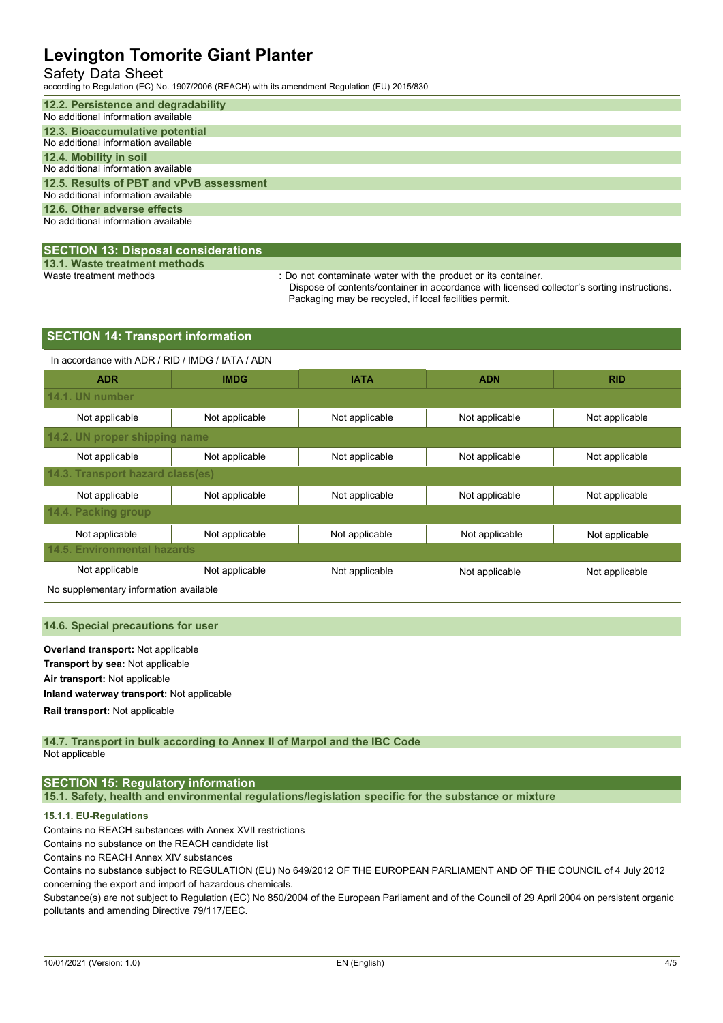## Safety Data Sheet

according to Regulation (EC) No. 1907/2006 (REACH) with its amendment Regulation (EU) 2015/830

| 12.2. Persistence and degradability      |
|------------------------------------------|
| No additional information available      |
| 12.3. Bioaccumulative potential          |
| No additional information available      |
| 12.4. Mobility in soil                   |
| No additional information available      |
| 12.5. Results of PBT and vPvB assessment |
| No additional information available      |
| 12.6. Other adverse effects              |
| No additional information available      |
|                                          |

## **SECTION 13: Disposal considerations**

**13.1. Waste treatment methods**

: Do not contaminate water with the product or its container.

Dispose of contents/container in accordance with licensed collector's sorting instructions. Packaging may be recycled, if local facilities permit.

| <b>SECTION 14: Transport information</b>         |                |                |                |                |  |
|--------------------------------------------------|----------------|----------------|----------------|----------------|--|
| In accordance with ADR / RID / IMDG / IATA / ADN |                |                |                |                |  |
| <b>ADR</b>                                       | <b>IMDG</b>    | <b>IATA</b>    | <b>ADN</b>     | <b>RID</b>     |  |
| 14.1. UN number                                  |                |                |                |                |  |
| Not applicable                                   | Not applicable | Not applicable | Not applicable | Not applicable |  |
| 14.2. UN proper shipping name                    |                |                |                |                |  |
| Not applicable                                   | Not applicable | Not applicable | Not applicable | Not applicable |  |
| 14.3. Transport hazard class(es)                 |                |                |                |                |  |
| Not applicable                                   | Not applicable | Not applicable | Not applicable | Not applicable |  |
| 14.4. Packing group                              |                |                |                |                |  |
| Not applicable                                   | Not applicable | Not applicable | Not applicable | Not applicable |  |
| <b>14.5. Environmental hazards</b>               |                |                |                |                |  |
| Not applicable                                   | Not applicable | Not applicable | Not applicable | Not applicable |  |

No supplementary information available

#### **14.6. Special precautions for user**

**Overland transport:** Not applicable **Transport by sea:** Not applicable **Air transport:** Not applicable **Inland waterway transport:** Not applicable **Rail.transport:** Not applicable

#### **14.7. Transport in bulk according to Annex II of Marpol and the IBC Code** Not applicable

## **SECTION 15: Regulatory information**

**15.1. Safety, health and environmental regulations/legislation specific for the substance or mixture**

### **15.1.1. EU-Regulations**

Contains no REACH substances with Annex XVII restrictions

Contains no substance on the REACH candidate list

Contains no REACH Annex XIV substances

Contains no substance subject to REGULATION (EU) No 649/2012 OF THE EUROPEAN PARLIAMENT AND OF THE COUNCIL of 4 July 2012 concerning the export and import of hazardous chemicals.

Substance(s) are not subject to Regulation (EC) No 850/2004 of the European Parliament and of the Council of 29 April 2004 on persistent organic pollutants and amending Directive 79/117/EEC.